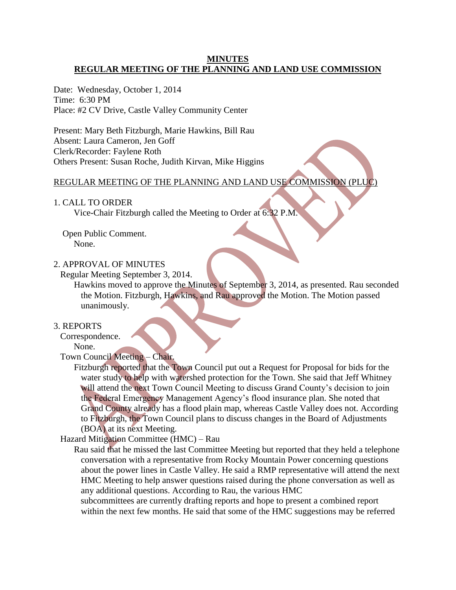## **MINUTES REGULAR MEETING OF THE PLANNING AND LAND USE COMMISSION**

Date: Wednesday, October 1, 2014 Time: 6:30 PM Place: #2 CV Drive, Castle Valley Community Center

Present: Mary Beth Fitzburgh, Marie Hawkins, Bill Rau Absent: Laura Cameron, Jen Goff Clerk/Recorder: Faylene Roth Others Present: Susan Roche, Judith Kirvan, Mike Higgins

# REGULAR MEETING OF THE PLANNING AND LAND USE COMMISSION (PLUC)

#### 1. CALL TO ORDER

Vice-Chair Fitzburgh called the Meeting to Order at 6:32 P.M.

Open Public Comment. None.

#### 2. APPROVAL OF MINUTES

Regular Meeting September 3, 2014.

Hawkins moved to approve the Minutes of September 3, 2014, as presented. Rau seconded the Motion. Fitzburgh, Hawkins, and Rau approved the Motion. The Motion passed unanimously.

### 3. REPORTS

Correspondence.

None.

# Town Council Meeting – Chair.

Fitzburgh reported that the Town Council put out a Request for Proposal for bids for the water study to help with watershed protection for the Town. She said that Jeff Whitney will attend the next Town Council Meeting to discuss Grand County's decision to join the Federal Emergency Management Agency's flood insurance plan. She noted that Grand County already has a flood plain map, whereas Castle Valley does not. According to Fitzburgh, the Town Council plans to discuss changes in the Board of Adjustments (BOA) at its next Meeting.

Hazard Mitigation Committee (HMC) – Rau

Rau said that he missed the last Committee Meeting but reported that they held a telephone conversation with a representative from Rocky Mountain Power concerning questions about the power lines in Castle Valley. He said a RMP representative will attend the next HMC Meeting to help answer questions raised during the phone conversation as well as any additional questions. According to Rau, the various HMC

 subcommittees are currently drafting reports and hope to present a combined report within the next few months. He said that some of the HMC suggestions may be referred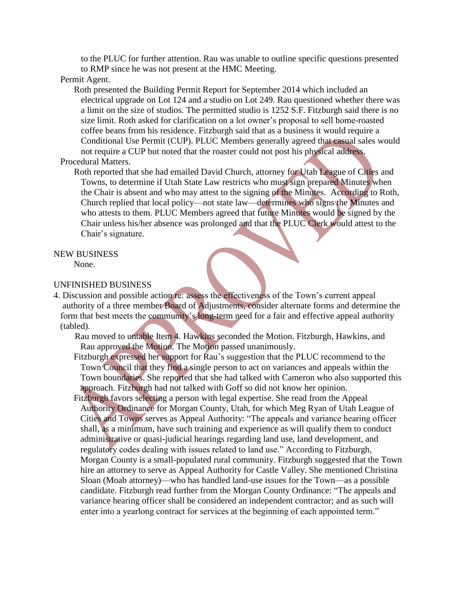to the PLUC for further attention. Rau was unable to outline specific questions presented to RMP since he was not present at the HMC Meeting.

#### Permit Agent.

Roth presented the Building Permit Report for September 2014 which included an electrical upgrade on Lot 124 and a studio on Lot 249. Rau questioned whether there was a limit on the size of studios. The permitted studio is 1252 S.F. Fitzburgh said there is no size limit. Roth asked for clarification on a lot owner's proposal to sell home-roasted coffee beans from his residence. Fitzburgh said that as a business it would require a Conditional Use Permit (CUP). PLUC Members generally agreed that casual sales would not require a CUP but noted that the roaster could not post his physical address. Procedural Matters.

Roth reported that she had emailed David Church, attorney for Utah League of Cities and Towns, to determine if Utah State Law restricts who must sign prepared Minutes when the Chair is absent and who may attest to the signing of the Minutes. According to Roth, Church replied that local policy—not state law—determines who signs the Minutes and who attests to them. PLUC Members agreed that future Minutes would be signed by the Chair unless his/her absence was prolonged and that the PLUC Clerk would attest to the Chair's signature.

## NEW BUSINESS

None.

# UNFINISHED BUSINESS

4. Discussion and possible action re: assess the effectiveness of the Town's current appeal authority of a three member Board of Adjustments, consider alternate forms and determine the form that best meets the community's long-term need for a fair and effective appeal authority (tabled).

 Rau moved to untable Item 4. Hawkins seconded the Motion. Fitzburgh, Hawkins, and Rau approved the Motion. The Motion passed unanimously.

 Fitzburgh expressed her support for Rau's suggestion that the PLUC recommend to the Town Council that they find a single person to act on variances and appeals within the Town boundaries. She reported that she had talked with Cameron who also supported this approach. Fitzburgh had not talked with Goff so did not know her opinion.

 Fitzburgh favors selecting a person with legal expertise. She read from the Appeal Authority Ordinance for Morgan County, Utah, for which Meg Ryan of Utah League of Cities and Towns serves as Appeal Authority: "The appeals and variance hearing officer shall, as a minimum, have such training and experience as will qualify them to conduct administrative or quasi-judicial hearings regarding land use, land development, and regulatory codes dealing with issues related to land use." According to Fitzburgh, Morgan County is a small-populated rural community. Fitzburgh suggested that the Town hire an attorney to serve as Appeal Authority for Castle Valley. She mentioned Christina Sloan (Moab attorney)—who has handled land-use issues for the Town—as a possible candidate. Fitzburgh read further from the Morgan County Ordinance: "The appeals and variance hearing officer shall be considered an independent contractor; and as such will enter into a yearlong contract for services at the beginning of each appointed term."